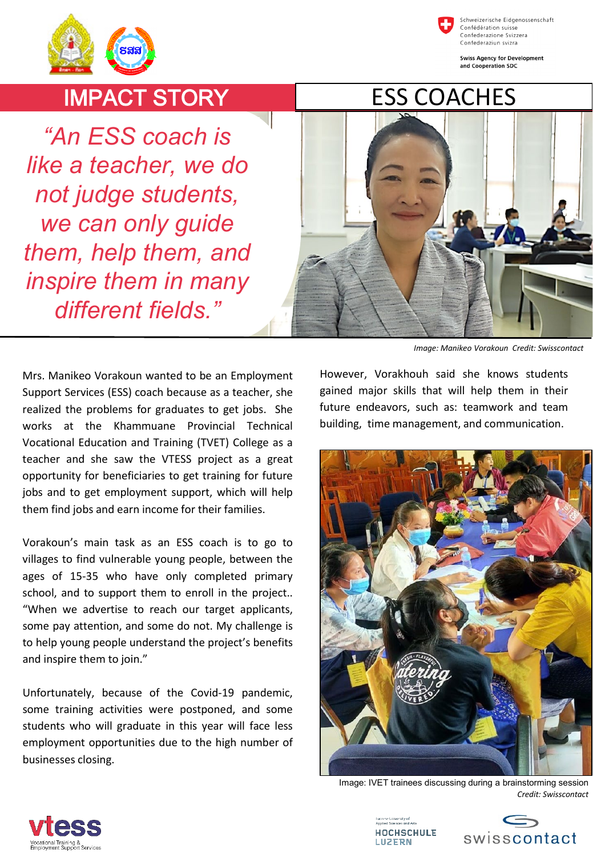chweizerische Eidgenossenschaft Confédération suisse Confederazione Svizzera Confederaziun svizra





IMPACT STORY

*"An ESS coach is like a teacher, we do not judge students, we can only guide them, help them, and inspire them in many different fields."*



*Image: Manikeo Vorakoun Credit: Swisscontact*

Mrs. Manikeo Vorakoun wanted to be an Employment Support Services (ESS) coach because as a teacher, she realized the problems for graduates to get jobs. She works at the Khammuane Provincial Technical Vocational Education and Training (TVET) College as a teacher and she saw the VTESS project as a great opportunity for beneficiaries to get training for future jobs and to get employment support, which will help them find jobs and earn income for their families.

Vorakoun's main task as an ESS coach is to go to villages to find vulnerable young people, between the ages of 15-35 who have only completed primary school, and to support them to enroll in the project.. "When we advertise to reach our target applicants, some pay attention, and some do not. My challenge is to help young people understand the project's benefits and inspire them to join."

Unfortunately, because of the Covid-19 pandemic, some training activities were postponed, and some students who will graduate in this year will face less employment opportunities due to the high number of businesses closing.

However, Vorakhouh said she knows students gained major skills that will help them in their future endeavors, such as: teamwork and team building, time management, and communication.



Image: IVET trainees discussing during a brainstorming session *Credit: Swisscontact*